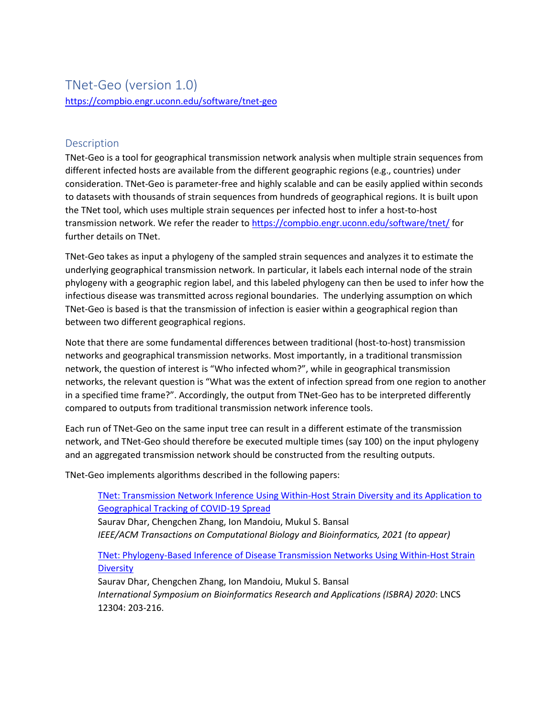# TNet-Geo (version 1.0) <https://compbio.engr.uconn.edu/software/tnet-geo>

## Description

TNet-Geo is a tool for geographical transmission network analysis when multiple strain sequences from different infected hosts are available from the different geographic regions (e.g., countries) under consideration. TNet-Geo is parameter-free and highly scalable and can be easily applied within seconds to datasets with thousands of strain sequences from hundreds of geographical regions. It is built upon the TNet tool, which uses multiple strain sequences per infected host to infer a host-to-host transmission network. We refer the reader to<https://compbio.engr.uconn.edu/software/tnet/> for further details on TNet.

TNet-Geo takes as input a phylogeny of the sampled strain sequences and analyzes it to estimate the underlying geographical transmission network. In particular, it labels each internal node of the strain phylogeny with a geographic region label, and this labeled phylogeny can then be used to infer how the infectious disease was transmitted across regional boundaries. The underlying assumption on which TNet-Geo is based is that the transmission of infection is easier within a geographical region than between two different geographical regions.

Note that there are some fundamental differences between traditional (host-to-host) transmission networks and geographical transmission networks. Most importantly, in a traditional transmission network, the question of interest is "Who infected whom?", while in geographical transmission networks, the relevant question is "What was the extent of infection spread from one region to another in a specified time frame?". Accordingly, the output from TNet-Geo has to be interpreted differently compared to outputs from traditional transmission network inference tools.

Each run of TNet-Geo on the same input tree can result in a different estimate of the transmission network, and TNet-Geo should therefore be executed multiple times (say 100) on the input phylogeny and an aggregated transmission network should be constructed from the resulting outputs.

TNet-Geo implements algorithms described in the following papers:

[TNet: Transmission Network Inference Using Within-Host Strain Diversity and its Application to](https://compbio.engr.uconn.edu/wp-content/uploads/sites/2447/2021/01/TNet_2020_Full_preprint.pdf)  [Geographical Tracking of COVID-19 Spread](https://compbio.engr.uconn.edu/wp-content/uploads/sites/2447/2021/01/TNet_2020_Full_preprint.pdf) Saurav Dhar, Chengchen Zhang, Ion Mandoiu, Mukul S. Bansal *IEEE/ACM Transactions on Computational Biology and Bioinformatics, 2021 (to appear)* [TNet: Phylogeny-Based Inference of Disease Transmission Networks Using Within-Host Strain](https://compbio.engr.uconn.edu/wp-content/uploads/sites/2447/2020/03/TNet_ISBRA_2020.pdf)  **[Diversity](https://compbio.engr.uconn.edu/wp-content/uploads/sites/2447/2020/03/TNet_ISBRA_2020.pdf)** Saurav Dhar, Chengchen Zhang, Ion Mandoiu, Mukul S. Bansal *International Symposium on Bioinformatics Research and Applications (ISBRA) 2020*: LNCS 12304: 203-216.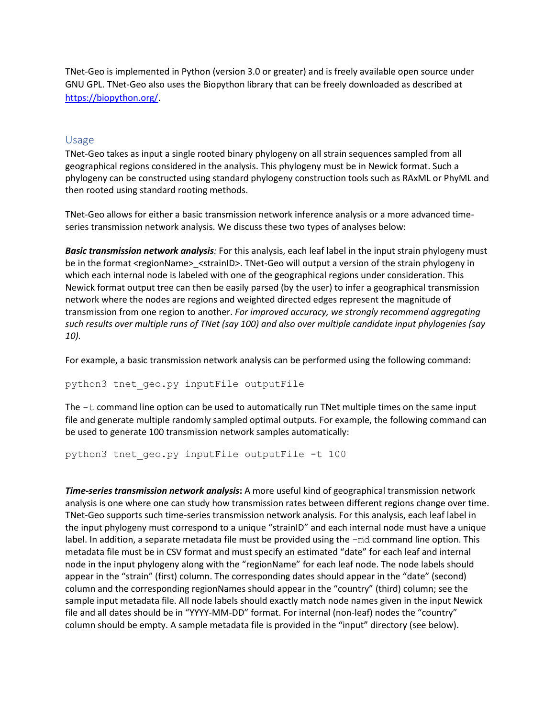TNet-Geo is implemented in Python (version 3.0 or greater) and is freely available open source under GNU GPL. TNet-Geo also uses the Biopython library that can be freely downloaded as described at [https://biopython.org/.](https://biopython.org/)

### Usage

TNet-Geo takes as input a single rooted binary phylogeny on all strain sequences sampled from all geographical regions considered in the analysis. This phylogeny must be in Newick format. Such a phylogeny can be constructed using standard phylogeny construction tools such as RAxML or PhyML and then rooted using standard rooting methods.

TNet-Geo allows for either a basic transmission network inference analysis or a more advanced timeseries transmission network analysis. We discuss these two types of analyses below:

*Basic transmission network analysis:* For this analysis, each leaf label in the input strain phylogeny must be in the format <regionName> <strainID>. TNet-Geo will output a version of the strain phylogeny in which each internal node is labeled with one of the geographical regions under consideration. This Newick format output tree can then be easily parsed (by the user) to infer a geographical transmission network where the nodes are regions and weighted directed edges represent the magnitude of transmission from one region to another. *For improved accuracy, we strongly recommend aggregating such results over multiple runs of TNet (say 100) and also over multiple candidate input phylogenies (say 10).* 

For example, a basic transmission network analysis can be performed using the following command:

python3 tnet\_geo.py inputFile outputFile

The  $-t$  command line option can be used to automatically run TNet multiple times on the same input file and generate multiple randomly sampled optimal outputs. For example, the following command can be used to generate 100 transmission network samples automatically:

python3 tnet geo.py inputFile outputFile -t 100

*Time-series transmission network analysis***:** A more useful kind of geographical transmission network analysis is one where one can study how transmission rates between different regions change over time. TNet-Geo supports such time-series transmission network analysis. For this analysis, each leaf label in the input phylogeny must correspond to a unique "strainID" and each internal node must have a unique label. In addition, a separate metadata file must be provided using the  $-\text{md}$  command line option. This metadata file must be in CSV format and must specify an estimated "date" for each leaf and internal node in the input phylogeny along with the "regionName" for each leaf node. The node labels should appear in the "strain" (first) column. The corresponding dates should appear in the "date" (second) column and the corresponding regionNames should appear in the "country" (third) column; see the sample input metadata file. All node labels should exactly match node names given in the input Newick file and all dates should be in "YYYY-MM-DD" format. For internal (non-leaf) nodes the "country" column should be empty. A sample metadata file is provided in the "input" directory (see below).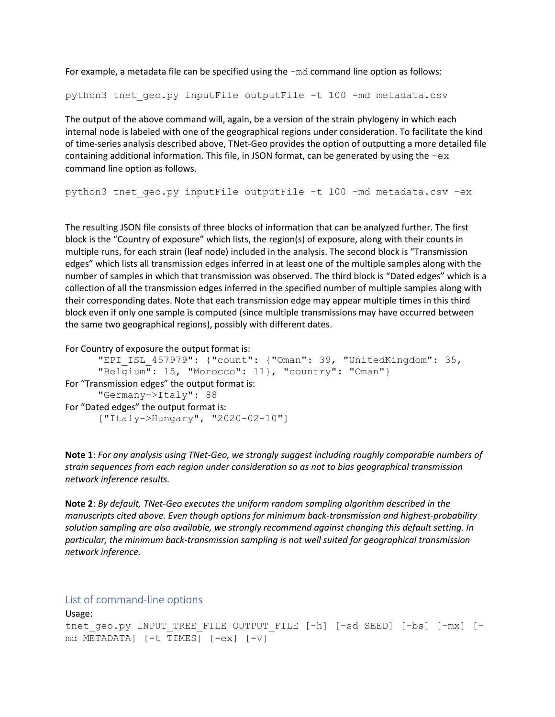For example, a metadata file can be specified using the -md command line option as follows:

python3 tnet qeo.py inputFile outputFile -t 100 -md metadata.csv

The output of the above command will, again, be a version of the strain phylogeny in which each internal node is labeled with one of the geographical regions under consideration. To facilitate the kind of time-series analysis described above, TNet-Geo provides the option of outputting a more detailed file containing additional information. This file, in JSON format, can be generated by using the  $-\infty$ command line option as follows.

python3 tnet geo.py inputFile outputFile -t 100 -md metadata.csv -ex

The resulting JSON file consists of three blocks of information that can be analyzed further. The first block is the "Country of exposure" which lists, the region(s) of exposure, along with their counts in multiple runs, for each strain (leaf node) included in the analysis. The second block is "Transmission edges" which lists all transmission edges inferred in at least one of the multiple samples along with the number of samples in which that transmission was observed. The third block is "Dated edges" which is a collection of all the transmission edges inferred in the specified number of multiple samples along with their corresponding dates. Note that each transmission edge may appear multiple times in this third block even if only one sample is computed (since multiple transmissions may have occurred between the same two geographical regions), possibly with different dates.

For Country of exposure the output format is:

```
"EPI_ISL_457979": {"count": {"Oman": 39, "UnitedKingdom": 35, 
      "Belgium": 15, "Morocco": 11}, "country": "Oman"}
For "Transmission edges" the output format is:
      "Germany->Italy": 88
For "Dated edges" the output format is:
      ["Italy->Hungary", "2020-02-10"]
```
**Note 1**: *For any analysis using TNet-Geo, we strongly suggest including roughly comparable numbers of strain sequences from each region under consideration so as not to bias geographical transmission network inference results.* 

**Note 2**: *By default, TNet-Geo executes the uniform random sampling algorithm described in the manuscripts cited above. Even though options for minimum back-transmission and highest-probability solution sampling are also available, we strongly recommend against changing this default setting. In particular, the minimum back-transmission sampling is not well suited for geographical transmission network inference.*

#### List of command-line options

```
Usage:
tnet geo.py INPUT TREE FILE OUTPUT FILE [-h] [-sd SEED] [-bs] [-mx] [-
md METADATA] [-t TIMES] [-ex] [-v]
```